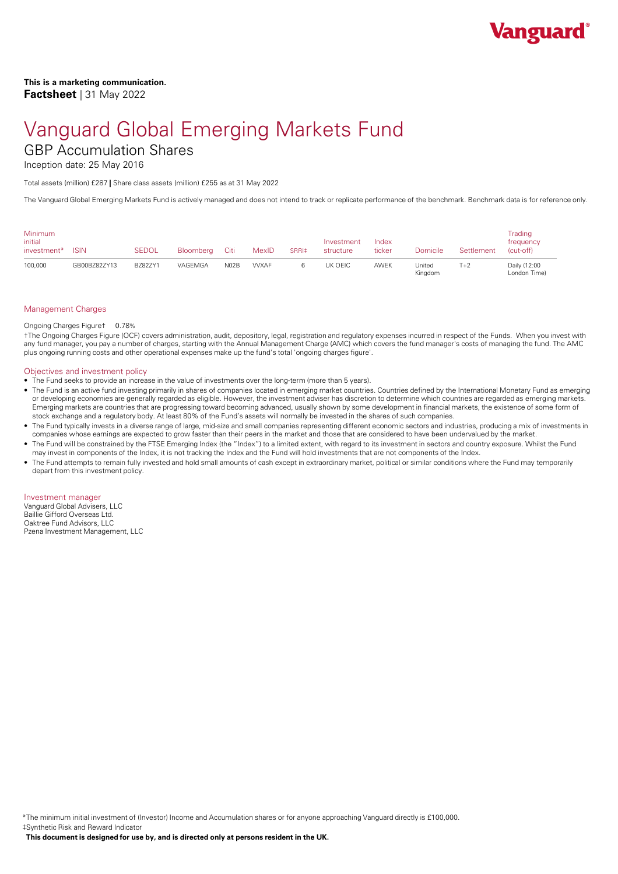# Vanguard Global Emerging Markets Fund

## GBP Accumulation Shares

Inception date: 25 May 2016

Total assets (million) £287 **|** Share class assets (million) £255 as at 31 May 2022

The Vanguard Global Emerging Markets Fund is actively managed and does not intend to track or replicate performance of the benchmark. Benchmark data is for reference only.

| <b>Minimum</b><br>initial<br>investment* | <b>ISIN</b>  | <b>SEDOL</b> | Bloomberg | Citi              | MexID       | SRRI‡ | Investment<br>structure | Index<br>ticker | Domicile          | Settlement | Trading<br>frequency<br>(cut-off) |  |
|------------------------------------------|--------------|--------------|-----------|-------------------|-------------|-------|-------------------------|-----------------|-------------------|------------|-----------------------------------|--|
| 100,000                                  | GB00BZ82ZY13 | BZ82ZY1      | VAGEMGA   | N <sub>02</sub> B | <b>WXAF</b> |       | UK OEIC                 | AWEK            | United<br>Kingdom | T+2        | Daily (12:00<br>London Time)      |  |

## Management Charges

#### Ongoing Charges Figure† 0.78%

†The Ongoing Charges Figure (OCF) covers administration, audit, depository, legal, registration and regulatory expenses incurred in respect of the Funds. When you invest with any fund manager, you pay a number of charges, starting with the Annual Management Charge (AMC) which covers the fund manager's costs of managing the fund. The AMC plus ongoing running costs and other operational expenses make up the fund's total 'ongoing charges figure'.

### Objectives and investment policy

- The Fund seeks to provide an increase in the value of investments over the long-term (more than 5 years).
- The Fund is an active fund investing primarily in shares of companies located in emerging market countries. Countries defined by the International Monetary Fund as emerging or developing economies are generally regarded as eligible. However, the investment adviser has discretion to determine which countries are regarded as emerging markets. Emerging markets are countries that are progressing toward becoming advanced, usually shown by some development in financial markets, the existence of some form of stock exchange and a regulatory body. At least 80% of the Fund's assets will normally be invested in the shares ofsuch companies.
- The Fund typically invests in a diverse range of large, mid-size and small companies representing different economic sectors and industries, producing a mix of investments in companies whose earnings are expected to grow faster than their peers in the market and those that are considered to have been undervalued by the market.
- The Fund will be constrained by the FTSE Emerging Index (the "Index") to a limited extent, with regard to its investment in sectors and country exposure. Whilst the Fund may invest in components ofthe Index, it is not tracking the Index and the Fund will hold investments that are not components of the Index.
- The Fund attempts to remain fully invested and hold small amounts of cash except in extraordinary market, political or similar conditions where the Fund may temporarily depart from this investment policy.

Investment manager Vanguard Global Advisers, LLC Baillie Gifford Overseas Ltd. Oaktree Fund Advisors, LLC Pzena Investment Management, LLC

\*The minimum initial investment of (Investor) Income and Accumulation shares or for anyone approaching Vanguard directly is £100,000. ‡Synthetic Risk and Reward Indicator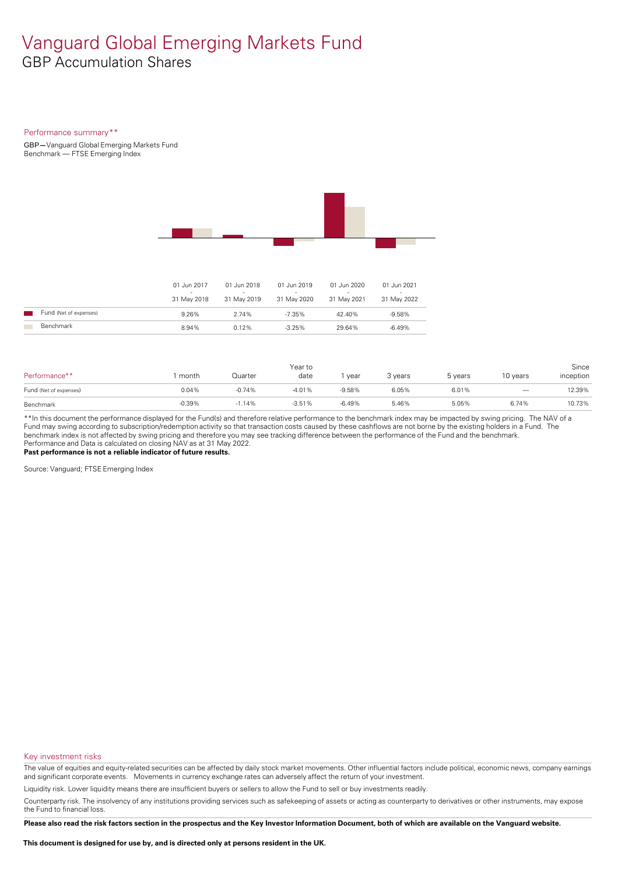# Vanguard Global Emerging Markets Fund

GBP Accumulation Shares

## Performance summary\*\*

GBP**—**Vanguard Global Emerging Markets Fund Benchmark — FTSE Emerging Index



|                        | 01 Jun 2017<br>-<br>31 May 2018 | 01 Jun 2018<br>$\overline{\phantom{a}}$<br>31 May 2019 | 01 Jun 2019<br>$\sim$<br>31 May 2020 | 01 Jun 2020<br>-<br>31 May 2021 | 01 Jun 2021<br>$\overline{\phantom{a}}$<br>31 May 2022 |
|------------------------|---------------------------------|--------------------------------------------------------|--------------------------------------|---------------------------------|--------------------------------------------------------|
| Fund (Net of expenses) | 9.26%                           | 2.74%                                                  | $-7.35\%$                            | 42.40%                          | $-9.58\%$                                              |
| Benchmark              | 8.94%                           | 0.12%                                                  | $-3.25%$                             | 29.64%                          | $-6.49%$                                               |

| Performance**          | month    | Quarter  | Year to<br>date | year     | 3 years | 5 years | 10 years          | Since<br>inception |
|------------------------|----------|----------|-----------------|----------|---------|---------|-------------------|--------------------|
| Fund (Net of expenses) | 0.04%    | $-0.74%$ | $-4.01%$        | $-9.58%$ | 6.05%   | 6.01%   | $\qquad \qquad -$ | 12.39%             |
| Benchmark              | $-0.39%$ | $-1.14%$ | $-3.51%$        | $-6.49%$ | 5.46%   | 5.05%   | 6.74%             | 10.73%             |

\*\*In this document the performance displayed for the Fund(s) and therefore relative performance to the benchmark index may be impacted by swing pricing. The NAV of a Fund may swing according to subscription/redemption activity so that transaction costs caused by these cashflows are notborne by the existing holders in a Fund. The benchmark index is not affected by swing pricing and therefore you may see tracking difference between the performance of the Fund and the benchmark. Performance and Data is calculated on closing NAV as at 31 May 2022.

**Past performance is not a reliable indicator of future results.**

Source: Vanguard; FTSE Emerging Index

Key investment risks

The value of equities and equity-related securities can be affected by daily stock market movements. Other influential factors include political, economic news, company earnings and significant corporate events. Movements in currency exchange rates can adversely affect the return of your investment.

Liquidity risk. Lower liquidity means there are insufficient buyers or sellers to allow the Fund to sell or buy investments readily.

Counterparty risk. The insolvency ofany institutions providing services such as safekeeping of assets or acting as counterparty to derivatives or other instruments, may expose the Fund to financial loss.

Please also read the risk factors section in the prospectus and the Key Investor Information Document, both of which are available on the Vanguard website.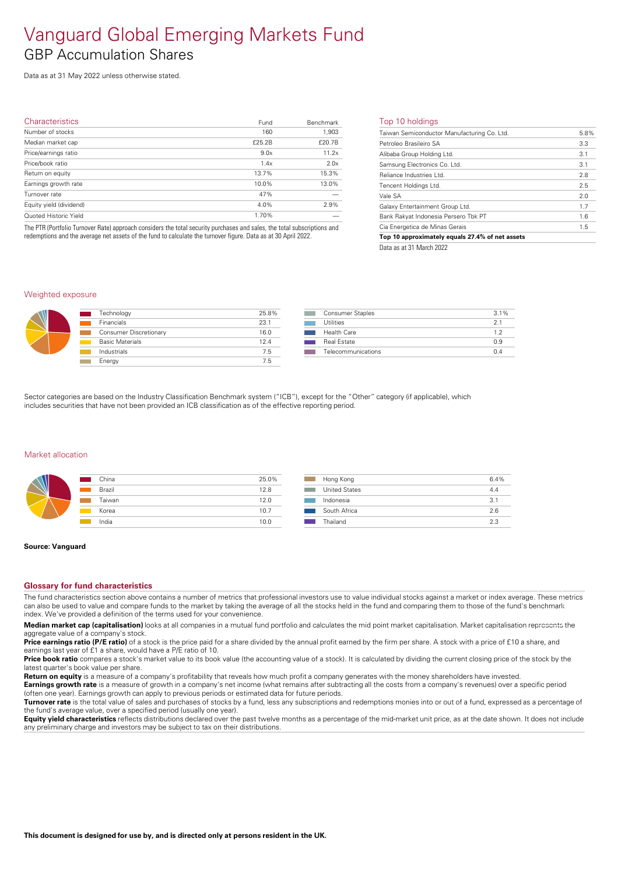# Vanguard Global Emerging Markets Fund GBP Accumulation Shares

Data as at 31 May 2022 unless otherwise stated.

| <b>Characteristics</b>  | Fund   | Benchmark | т              |
|-------------------------|--------|-----------|----------------|
| Number of stocks        | 160    | 1,903     | Τa             |
| Median market cap       | £25.2B | £20.7B    | P(             |
| Price/earnings ratio    | 9.0x   | 11.2x     | $\mathsf{A}$   |
| Price/book ratio        | 1.4x   | 2.0x      | $S_6$          |
| Return on equity        | 13.7%  | 15.3%     | R <sub>t</sub> |
| Earnings growth rate    | 10.0%  | 13.0%     | Tε             |
| Turnover rate           | 47%    |           | V              |
| Equity yield (dividend) | 4.0%   | 2.9%      | $\overline{G}$ |
| Quoted Historic Yield   | 1.70%  |           | Bi             |
|                         |        |           |                |

The PTR (Portfolio Turnover Rate) approach considers the total security purchases and sales, the total subscriptions and redemptions and the average net assets of the fund to calculate the turnover figure. Data as at 30 April 2022.

#### Top 10 holdings

| Taiwan Semiconductor Manufacturing Co. Ltd.     | 5.8% |
|-------------------------------------------------|------|
| Petroleo Brasileiro SA                          | 3.3  |
| Alibaba Group Holding Ltd.                      | 3.1  |
| Samsung Electronics Co. Ltd.                    | 3.1  |
| Reliance Industries Ltd.                        | 2.8  |
| Tencent Holdinas Ltd.                           | 2.5  |
| Vale SA                                         | 2.0  |
| Galaxy Entertainment Group Ltd.                 | 1.7  |
| Bank Rakvat Indonesia Persero Tbk PT            | 1.6  |
| Cia Energetica de Minas Gerais                  | 1.5  |
| Top 10 approximately equals 27.4% of net assets |      |
|                                                 |      |

Data as at 31 March 2022

## Weighted exposure

| Technology             | 25.8% |
|------------------------|-------|
| <b>Financials</b>      | 23.1  |
| Consumer Discretionary | 16.0  |
| <b>Basic Materials</b> | 124   |
| Industrials            | 7.5   |
| Energy                 | 7.5   |

| 3.1% |
|------|
| 21   |
| 12   |
| 0.9  |
| 04   |
|      |

Sector categories are based on the Industry Classification Benchmark system ("ICB"), except for the "Other" category (if applicable), which includes securities that have not been provided an ICB classification as of the effective reporting period.

### Market allocation

|  | China  | 25.0% |  |
|--|--------|-------|--|
|  | Brazil | 12.8  |  |
|  | Taiwan | 12.0  |  |
|  | Korea  | 10.7  |  |
|  | India  | 10.0  |  |
|  |        |       |  |

| Hong Kong            | 6.4% |
|----------------------|------|
| <b>United States</b> | 4.4  |
| Indonesia            | 3.1  |
| South Africa         | 2.6  |
| Thailand             | 2.3  |

#### **Source: Vanguard**

#### **Glossary for fund characteristics**

The fund characteristics section above contains a number of metrics that professional investors use to value individual stocks against a market or index average. These metrics can also be used to value and compare funds to the market by taking the average of all the stocks held in the fund and comparing them to those of the fund's benchmark index. We've provided a definition of the terms used for your convenience.

**Median market cap (capitalisation)** looks at all companies in a mutual fund portfolio and calculates the mid point market capitalisation. Market capitalisation represents the aggregate value of a company's stock.

Price earnings ratio (P/E ratio) of a stock is the price paid for a share divided by the annual profit earned by the firm per share. A stock with a price of £10 a share, and earnings last year of £1 a share, would have a P/E ratio of 10.

**Price book ratio** compares a stock's market value to its book value (the accounting value of a stock). It is calculated by dividing the current closing price of the stock by the latest quarter's book value pershare.

**Return on equity** is a measure of a company's profitability that reveals how much profit a company generates with the money shareholders have invested.

**Earnings growth rate** is a measure of growth in a company's net income (what remains after subtracting all the costs from a company's revenues) over a specific period (often one year). Earnings growth can apply to previous periods or estimated data for future periods.

**Turnover rate** is the total value of sales and purchases of stocks by a fund, less any subscriptions and redemptions monies into or out of a fund, expressed as a percentage of the fund's average value, over a specified period (usually one year).

**Equity yield characteristics** reflects distributions declared over the past twelve months as a percentage of the mid-market unit price, as at the date shown. It does not include any preliminary charge and investors may be subject to tax on their distributions.